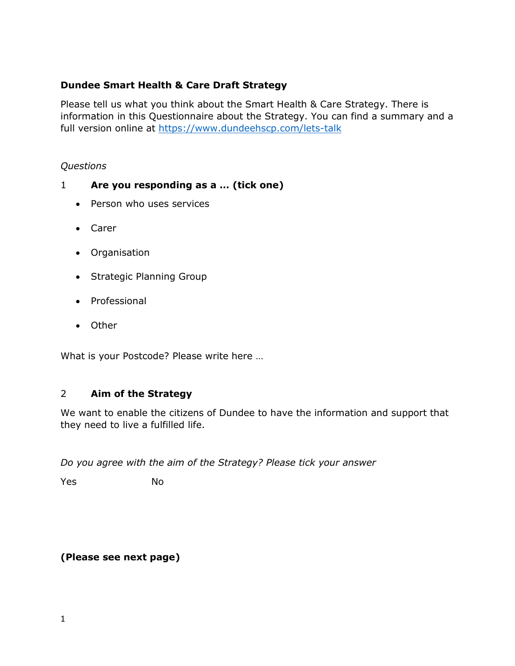## **Dundee Smart Health & Care Draft Strategy**

Please tell us what you think about the Smart Health & Care Strategy. There is information in this Questionnaire about the Strategy. You can find a summary and a full version online at<https://www.dundeehscp.com/lets-talk>

### *Questions*

# 1 **Are you responding as a … (tick one)**

- Person who uses services
- Carer
- Organisation
- Strategic Planning Group
- Professional
- Other

What is your Postcode? Please write here …

## 2 **Aim of the Strategy**

We want to enable the citizens of Dundee to have the information and support that they need to live a fulfilled life.

*Do you agree with the aim of the Strategy? Please tick your answer*

Yes No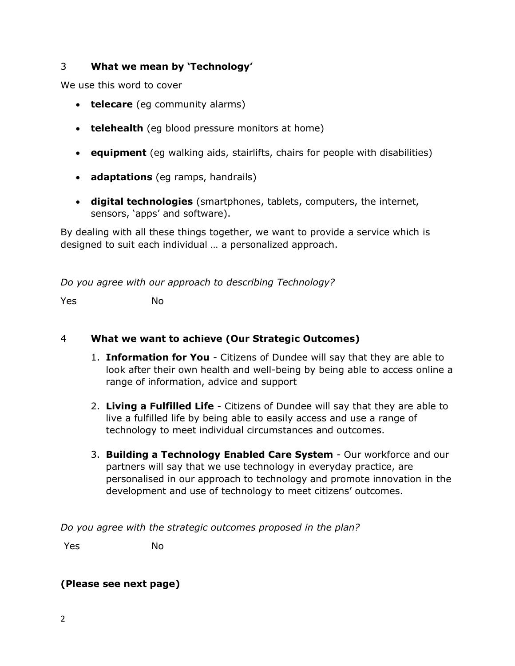## 3 **What we mean by 'Technology'**

We use this word to cover

- **telecare** (eg community alarms)
- **telehealth** (eg blood pressure monitors at home)
- **equipment** (eg walking aids, stairlifts, chairs for people with disabilities)
- **adaptations** (eg ramps, handrails)
- **digital technologies** (smartphones, tablets, computers, the internet, sensors, 'apps' and software).

By dealing with all these things together, we want to provide a service which is designed to suit each individual … a personalized approach.

*Do you agree with our approach to describing Technology?*

Yes No

#### 4 **What we want to achieve (Our Strategic Outcomes)**

- 1. **Information for You** Citizens of Dundee will say that they are able to look after their own health and well-being by being able to access online a range of information, advice and support
- 2. **Living a Fulfilled Life** Citizens of Dundee will say that they are able to live a fulfilled life by being able to easily access and use a range of technology to meet individual circumstances and outcomes.
- 3. **Building a Technology Enabled Care System** Our workforce and our partners will say that we use technology in everyday practice, are personalised in our approach to technology and promote innovation in the development and use of technology to meet citizens' outcomes.

*Do you agree with the strategic outcomes proposed in the plan?*

Yes No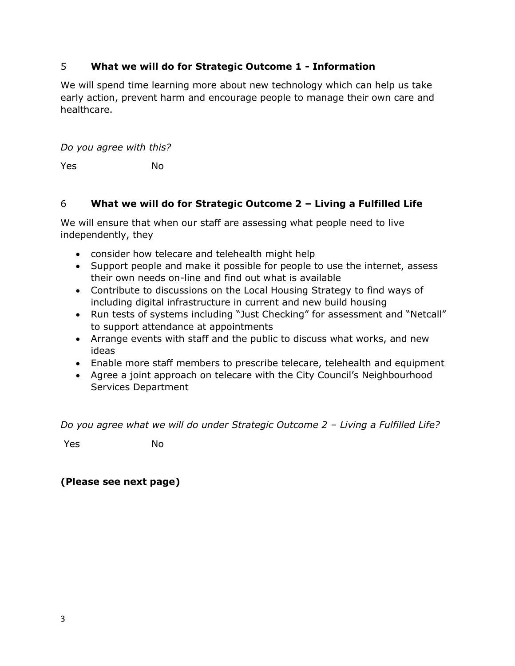## 5 **What we will do for Strategic Outcome 1 - Information**

We will spend time learning more about new technology which can help us take early action, prevent harm and encourage people to manage their own care and healthcare.

*Do you agree with this?*

Yes No

## 6 **What we will do for Strategic Outcome 2 – Living a Fulfilled Life**

We will ensure that when our staff are assessing what people need to live independently, they

- consider how telecare and telehealth might help
- Support people and make it possible for people to use the internet, assess their own needs on-line and find out what is available
- Contribute to discussions on the Local Housing Strategy to find ways of including digital infrastructure in current and new build housing
- Run tests of systems including "Just Checking" for assessment and "Netcall" to support attendance at appointments
- Arrange events with staff and the public to discuss what works, and new ideas
- Enable more staff members to prescribe telecare, telehealth and equipment
- Agree a joint approach on telecare with the City Council's Neighbourhood Services Department

*Do you agree what we will do under Strategic Outcome 2 – Living a Fulfilled Life?*

Yes No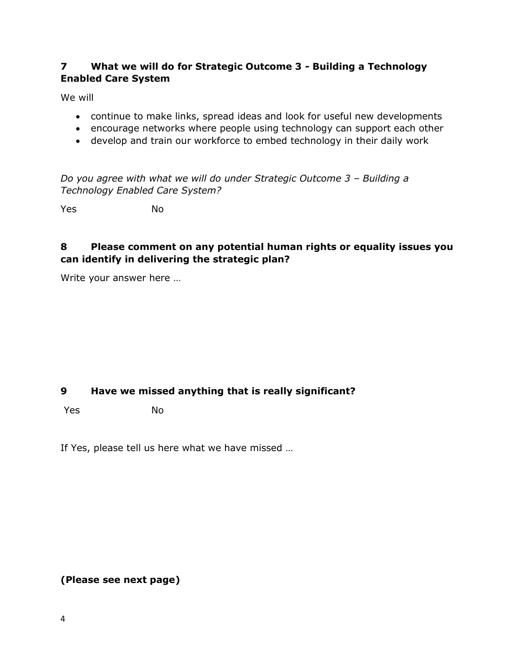### **7 What we will do for Strategic Outcome 3 - Building a Technology Enabled Care System**

We will

- continue to make links, spread ideas and look for useful new developments
- encourage networks where people using technology can support each other
- develop and train our workforce to embed technology in their daily work

*Do you agree with what we will do under Strategic Outcome 3 - Building a Technology Enabled Care System?*

Yes No

### **8 Please comment on any potential human rights or equality issues you can identify in delivering the strategic plan?**

Write your answer here …

## **9 Have we missed anything that is really significant?**

Yes No

If Yes, please tell us here what we have missed …